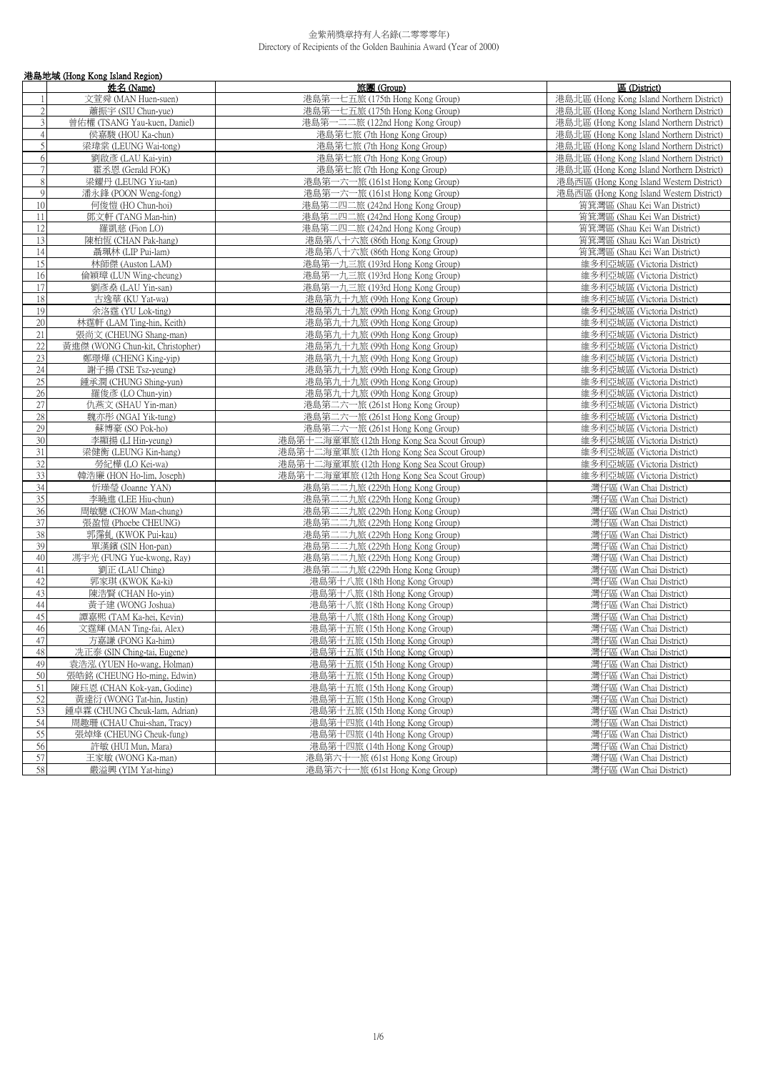|                 | 港島地域 (Hong Kong Island Region)   |                                            |                                           |
|-----------------|----------------------------------|--------------------------------------------|-------------------------------------------|
|                 | 姓名 (Name)                        | 旅團 (Group)                                 | 區 (District)                              |
|                 | 文萱舜 (MAN Huen-suen)              | 港島第一七五旅 (175th Hong Kong Group)            | 港島北區 (Hong Kong Island Northern District) |
| $\overline{2}$  | 蕭振宇 (SIU Chun-yue)               | 港島第一七五旅 (175th Hong Kong Group)            | 港島北區 (Hong Kong Island Northern District) |
| 3               | 曾佑權 (TSANG Yau-kuen, Daniel)     | 港島第一二二旅 (122nd Hong Kong Group)            | 港島北區 (Hong Kong Island Northern District) |
| $\overline{4}$  | 侯嘉駿 (HOU Ka-chun)                | 港島第七旅 (7th Hong Kong Group)                | 港島北區 (Hong Kong Island Northern District) |
| 5               | 梁瑋棠 (LEUNG Wai-tong)             | 港島第七旅 (7th Hong Kong Group)                | 港島北區 (Hong Kong Island Northern District) |
| 6               | 劉啟彥 (LAU Kai-yin)                | 港島第七旅 (7th Hong Kong Group)                | 港島北區 (Hong Kong Island Northern District) |
| $\overline{7}$  | 霍丞恩 (Gerald FOK)                 | 港島第七旅 (7th Hong Kong Group)                | 港島北區 (Hong Kong Island Northern District) |
| $\,8\,$         | 梁耀丹 (LEUNG Yiu-tan)              | 港島第一六一旅 (161st Hong Kong Group)            | 港島西區 (Hong Kong Island Western District)  |
| $\overline{9}$  | 潘永鋒 (POON Weng-fong)             | 港島第一六一旅 (161st Hong Kong Group)            | 港島西區 (Hong Kong Island Western District)  |
| 10              | 何俊愷 (HO Chun-hoi)                | 港島第二四二旅 (242nd Hong Kong Group)            | 筲箕灣區 (Shau Kei Wan District)              |
| 11              | 鄧文軒 (TANG Man-hin)               | 港島第二四二旅 (242nd Hong Kong Group)            | 筲箕灣區 (Shau Kei Wan District)              |
| 12              | 羅凱慈 (Fion LO)                    | 港島第二四二旅 (242nd Hong Kong Group)            | 筲箕灣區 (Shau Kei Wan District)              |
| 13              | 陳柏恆 (CHAN Pak-hang)              | 港島第八十六旅 (86th Hong Kong Group)             | 筲箕灣區 (Shau Kei Wan District)              |
| 14              | 聶珮林 (LIP Pui-lam)                | 港島第八十六旅 (86th Hong Kong Group)             | 筲箕灣區 (Shau Kei Wan District)              |
| 15              | 林師傑 (Auston LAM)                 | 港島第一九三旅 (193rd Hong Kong Group)            | 維多利亞城區 (Victoria District)                |
| 16              | 倫穎璋 (LUN Wing-cheung)            | 港島第一九三旅 (193rd Hong Kong Group)            | 維多利亞城區 (Victoria District)                |
| 17              | 劉彥燊 (LAU Yin-san)                | 港島第一九三旅 (193rd Hong Kong Group)            | 維多利亞城區 (Victoria District)                |
| 18              | 古逸華 (KU Yat-wa)                  | 港島第九十九旅 (99th Hong Kong Group)             | 維多利亞城區 (Victoria District)                |
| 19              | 余洛霆 (YU Lok-ting)                | 港島第九十九旅 (99th Hong Kong Group)             | 維多利亞城區 (Victoria District)                |
| 20              | 林霆軒 (LAM Ting-hin, Keith)        | 港島第九十九旅 (99th Hong Kong Group)             | 維多利亞城區 (Victoria District)                |
| 21              | 張尚文 (CHEUNG Shang-man)           | 港島第九十九旅 (99th Hong Kong Group)             | 維多利亞城區 (Victoria District)                |
| 22              | 黃進傑 (WONG Chun-kit, Christopher) | 港島第九十九旅 (99th Hong Kong Group)             | 維多利亞城區 (Victoria District)                |
| 23              | 鄭璟燁 (CHENG King-yip)             | 港島第九十九旅 (99th Hong Kong Group)             | 維多利亞城區 (Victoria District)                |
| $\overline{24}$ | 謝子揚 (TSE Tsz-yeung)              | 港島第九十九旅 (99th Hong Kong Group)             | 維多利亞城區 (Victoria District)                |
| 25              | 鍾承潤 (CHUNG Shing-yun)            | 港島第九十九旅 (99th Hong Kong Group)             | 維多利亞城區 (Victoria District)                |
| 26              | 羅俊彥 (LO Chun-yin)                | 港島第九十九旅 (99th Hong Kong Group)             | 維多利亞城區 (Victoria District)                |
| 27              | 仇燕文 (SHAU Yin-man)               | 港島第二六一旅 (261st Hong Kong Group)            | 維多利亞城區 (Victoria District)                |
| 28              | 魏亦形 (NGAI Yik-tung)              | 港島第二六一旅 (261st Hong Kong Group)            | 維多利亞城區 (Victoria District)                |
| 29              | 蘇博豪 (SO Pok-ho)                  |                                            | 維多利亞城區 (Victoria District)                |
| 30              |                                  | 港島第二六一旅 (261st Hong Kong Group)            |                                           |
|                 | 李顯揚 (LI Hin-yeung)               | 港島第十二海童軍旅 (12th Hong Kong Sea Scout Group) | 維多利亞城區 (Victoria District)                |
| 31              | 梁健衡 (LEUNG Kin-hang)             | 港島第十二海童軍旅 (12th Hong Kong Sea Scout Group) | 維多利亞城區 (Victoria District)                |
| 32              | 勞紀樺 (LO Kei-wa)                  | 港島第十二海童軍旅 (12th Hong Kong Sea Scout Group) | 維多利亞城區 (Victoria District)                |
| 33              | 韓浩廉 (HON Ho-lim, Joseph)         | 港島第十二海童軍旅 (12th Hong Kong Sea Scout Group) | 維多利亞城區 (Victoria District)                |
| 34              | 忻璪瑩 (Joanne YAN)                 | 港島第二二九旅 (229th Hong Kong Group)            | 灣仔區 (Wan Chai District)                   |
| 35              | 李曉進 (LEE Hiu-chun)               | 港島第二二九旅 (229th Hong Kong Group)            | 灣仔區 (Wan Chai District)                   |
| 36              | 周敏驄 (CHOW Man-chung)             | 港島第二二九旅 (229th Hong Kong Group)            | 灣仔區 (Wan Chai District)                   |
| 37              | 張盈愷 (Phoebe CHEUNG)              | 港島第二二九旅 (229th Hong Kong Group)            | 灣仔區 (Wan Chai District)                   |
| 38              | 郭霈虬 (KWOK Pui-kau)               | 港島第二二九旅 (229th Hong Kong Group)            | 灣仔區 (Wan Chai District)                   |
| 39              | 單漢鑌 (SIN Hon-pan)                | 港島第二二九旅 (229th Hong Kong Group)            | 灣仔區 (Wan Chai District)                   |
| 40              | 馮宇光 (FUNG Yue-kwong, Ray)        | 港島第二二九旅 (229th Hong Kong Group)            | 灣仔區 (Wan Chai District)                   |
| 41              | 劉正 (LAU Ching)                   | 港島第二二九旅 (229th Hong Kong Group)            | 灣仔區 (Wan Chai District)                   |
| 42              | 郭家琪 (KWOK Ka-ki)                 | 港島第十八旅 (18th Hong Kong Group)              | 灣仔區 (Wan Chai District)                   |
| 43              | 陳浩賢 (CHAN Ho-yin)                | 港島第十八旅 (18th Hong Kong Group)              | 灣仔區 (Wan Chai District)                   |
| 44              | 黃子建 (WONG Joshua)                | 港島第十八旅 (18th Hong Kong Group)              | 灣仔區 (Wan Chai District)                   |
| 45              | 譚嘉熙 (TAM Ka-hei, Kevin)          | 港島第十八旅 (18th Hong Kong Group)              | 灣仔區 (Wan Chai District)                   |
| 46              | 文霆輝 (MAN Ting-fai, Alex)         | 港島第十五旅 (15th Hong Kong Group)              | 灣仔區 (Wan Chai District)                   |
| 47              | 方嘉謙 (FONG Ka-him)                | 港島第十五旅 (15th Hong Kong Group)              | 灣仔區 (Wan Chai District)                   |
| 48              | 冼正泰 (SIN Ching-tai, Eugene)      | 港島第十五旅 (15th Hong Kong Group)              | 灣仔區 (Wan Chai District)                   |
| 49              | 袁浩泓 (YUEN Ho-wang, Holman)       | 港島第十五旅 (15th Hong Kong Group)              | 灣仔區 (Wan Chai District)                   |
| 50              | 張皓銘 (CHEUNG Ho-ming, Edwin)      | 港島第十五旅 (15th Hong Kong Group)              | 灣仔區 (Wan Chai District)                   |
| 51              | 陳珏恩 (CHAN Kok-yan, Godine)       | 港島第十五旅 (15th Hong Kong Group)              | 灣仔區 (Wan Chai District)                   |
| 52              | 黃達衍 (WONG Tat-hin, Justin)       | 港島第十五旅 (15th Hong Kong Group)              | 灣仔區 (Wan Chai District)                   |
| 53              | 鍾卓霖 (CHUNG Cheuk-lam, Adrian)    | 港島第十五旅 (15th Hong Kong Group)              | 灣仔區 (Wan Chai District)                   |
| 54              | 周趣珊 (CHAU Chui-shan, Tracy)      | 港島第十四旅 (14th Hong Kong Group)              | 灣仔區 (Wan Chai District)                   |
| 55              | 張焯烽 (CHEUNG Cheuk-fung)          | 港島第十四旅 (14th Hong Kong Group)              | 灣仔區 (Wan Chai District)                   |
| 56              | 許敏 (HUI Mun, Mara)               | 港島第十四旅 (14th Hong Kong Group)              | 灣仔區 (Wan Chai District)                   |
| 57              | 王家敏 (WONG Ka-man)                | 港島第六十一旅 (61st Hong Kong Group)             | 灣仔區 (Wan Chai District)                   |
| 58              | 嚴溢興 (YIM Yat-hing)               | 港島第六十一旅 (61st Hong Kong Group)             | 灣仔區 (Wan Chai District)                   |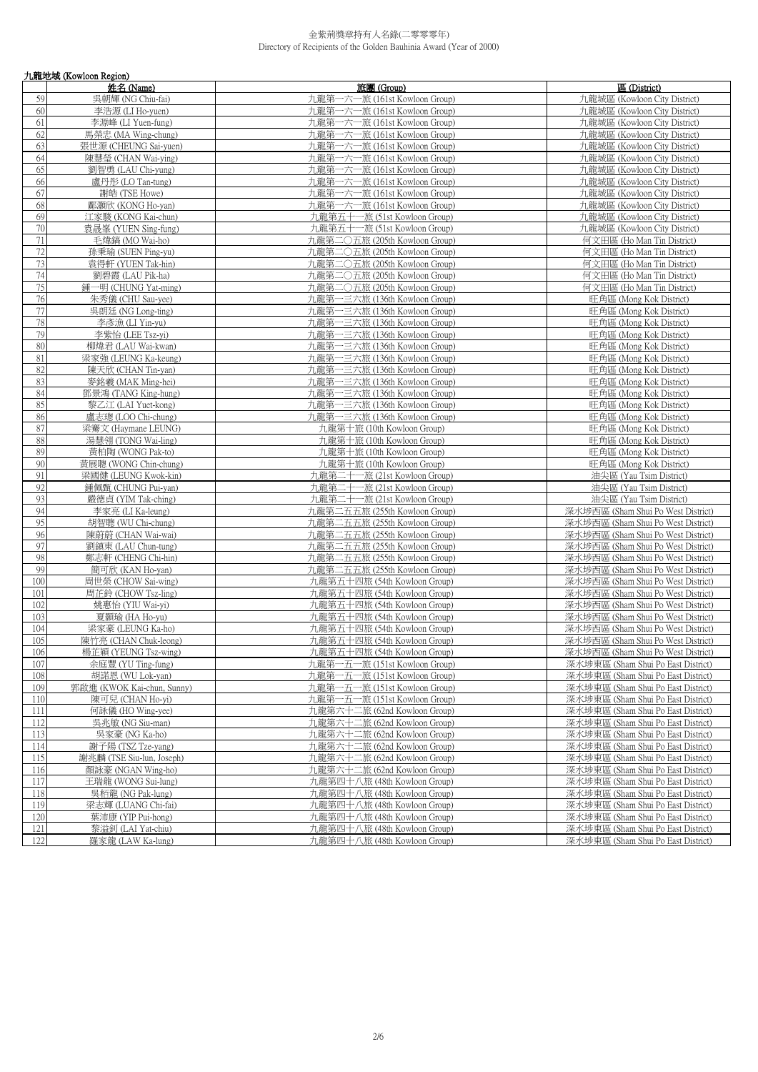|     | 九龍地域 (Kowloon Region)      |                                                              |                                    |
|-----|----------------------------|--------------------------------------------------------------|------------------------------------|
|     | 姓名 (Name)                  | 旅團 (Group)                                                   | 區 (District)                       |
| 59  | 吳朝輝 (NG Chiu-fai)          | 九龍第一六一旅 (161st Kowloon Group)                                | 九龍城區 (Kowloon City District)       |
| 60  | 李浩源 (LI Ho-yuen)           | 九龍第一六一旅 (161st Kowloon Group)                                | 九龍城區 (Kowloon City District)       |
| 61  | 李源峰 (LI Yuen-fung)         | 九龍第一六一旅 (161st Kowloon Group)                                | 九龍城區 (Kowloon City District)       |
| 62  | 馬榮忠 (MA Wing-chung)        | 九龍第一六一旅 (161st Kowloon Group)                                | 九龍城區 (Kowloon City District)       |
| 63  | 張世源 (CHEUNG Sai-yuen)      | 九龍第一六一旅 (161st Kowloon Group)                                | 九龍城區 (Kowloon City District)       |
| 64  | 陳慧瑩 (CHAN Wai-ying)        | 九龍第一六一旅 (161st Kowloon Group)                                | 九龍城區 (Kowloon City District)       |
| 65  | 劉智勇 (LAU Chi-yung)         | 九龍第一六一旅 (161st Kowloon Group)                                | 九龍城區 (Kowloon City District)       |
| 66  | 盧丹彤 (LO Tan-tung)          | 九龍第一六一旅 (161st Kowloon Group)                                | 九龍城區 (Kowloon City District)       |
| 67  | 謝皓 (TSE Howe)              | 九龍第一六一旅 (161st Kowloon Group)                                | 九龍城區 (Kowloon City District)       |
| 68  | 鄘灝欣 (KONG Ho-van)          | 九龍第一六一旅 (161st Kowloon Group)                                | 九龍城區 (Kowloon City District)       |
| 69  | 江家駿 (KONG Kai-chun)        | 九龍第五十一旅 (51st Kowloon Group)                                 | 九龍城區 (Kowloon City District)       |
| 70  | 袁晟峯 (YUEN Sing-fung)       | 九龍第五十一旅 (51st Kowloon Group)                                 | 九龍城區 (Kowloon City District)       |
| 71  | 毛煒鎬 (MO Wai-ho)            | 九龍第二〇五旅 (205th Kowloon Group)                                | 何文田區 (Ho Man Tin District)         |
| 72  | 孫秉瑜 (SUEN Ping-yu)         | 九龍第二〇五旅 (205th Kowloon Group)                                | 何文田區 (Ho Man Tin District)         |
| 73  | 袁得軒 (YUEN Tak-hin)         | 九龍第二〇五旅 (205th Kowloon Group)                                | 何文田區 (Ho Man Tin District)         |
| 74  | 劉碧霞 (LAU Pik-ha)           | 九龍第二〇五旅 (205th Kowloon Group)                                | 何文田區 (Ho Man Tin District)         |
| 75  | 鍾一明 (CHUNG Yat-ming)       | 九龍第二〇五旅 (205th Kowloon Group)                                | 何文田區 (Ho Man Tin District)         |
| 76  | 朱秀儀 (CHU Sau-yee)          | 九龍第一三六旅 (136th Kowloon Group)                                | 旺角區 (Mong Kok District)            |
| 77  | 吳朗廷 (NG Long-ting)         | 九龍第一三六旅 (136th Kowloon Group)                                | 旺角區 (Mong Kok District)            |
| 78  | 李彥漁 (LI Yin-yu)            | 九龍第一三六旅 (136th Kowloon Group)                                | 旺角區 (Mong Kok District)            |
| 79  | 李紫怡 (LEE Tsz-yi)           | 九龍第一三六旅 (136th Kowloon Group)                                | 旺角區 (Mong Kok District)            |
| 80  | 柳煒君 (LAU Wai-kwan)         | 九龍第一三六旅 (136th Kowloon Group)                                | 旺角區 (Mong Kok District)            |
| 81  | 梁家強 (LEUNG Ka-keung)       | 九龍第一三六旅 (136th Kowloon Group)                                | 旺角區 (Mong Kok District)            |
| 82  | 陳天欣 (CHAN Tin-yan)         | 九龍第一三六旅 (136th Kowloon Group)                                | 旺角區 (Mong Kok District)            |
| 83  | 麥銘羲 (MAK Ming-hei)         | 九龍第一三六旅 (136th Kowloon Group)                                | 旺角區 (Mong Kok District)            |
| 84  | 鄧景鴻 (TANG King-hung)       | 九龍第一三六旅 (136th Kowloon Group)                                | 旺角區 (Mong Kok District)            |
| 85  | 黎乙江 (LAI Yuet-kong)        | 九龍第一三六旅 (136th Kowloon Group)                                | 旺角區 (Mong Kok District)            |
| 86  | 盧志璁 (LOO Chi-chung)        | 九龍第一三六旅 (136th Kowloon Group)                                | 旺角區 (Mong Kok District)            |
| 87  | 梁騫文 (Haymane LEUNG)        | 九龍第十旅 (10th Kowloon Group)                                   | 旺角區 (Mong Kok District)            |
| 88  | 湯慧翎 (TONG Wai-ling)        | 九龍第十旅 (10th Kowloon Group)                                   | 旺角區 (Mong Kok District)            |
| 89  | 黃柏陶 (WONG Pak-to)          | 九龍第十旅 (10th Kowloon Group)                                   | 旺角區 (Mong Kok District)            |
| 90  | 黃展聰 (WONG Chin-chung)      | 九龍第十旅 (10th Kowloon Group)                                   | 旺角區 (Mong Kok District)            |
| 91  | 梁國健 (LEUNG Kwok-kin)       | 九龍第二十一旅 (21st Kowloon Group)                                 | 油尖區 (Yau Tsim District)            |
| 92  | 鍾佩甄 (CHUNG Pui-yan)        | 九龍第二十一旅 (21st Kowloon Group)                                 | 油尖區 (Yau Tsim District)            |
| 93  | 嚴德貞 (YIM Tak-ching)        | 九龍第二十一旅 (21st Kowloon Group)                                 | 油尖區 (Yau Tsim District)            |
| 94  | 李家亮 (LI Ka-leung)          | 九龍第二五五旅 (255th Kowloon Group)                                | 深水埗西區 (Sham Shui Po West District) |
| 95  | 胡智聰 (WU Chi-chung)         | 九龍第二五五旅 (255th Kowloon Group)                                | 深水埗西區 (Sham Shui Po West District) |
| 96  | 陳蔚蔚 (CHAN Wai-wai)         | 九龍第二五五旅 (255th Kowloon Group)                                | 深水埗西區 (Sham Shui Po West District) |
| 97  | 劉鎮東 (LAU Chun-tung)        | 九龍第二五五旅 (255th Kowloon Group)                                | 深水埗西區 (Sham Shui Po West District) |
| 98  | 鄭志軒 (CHENG Chi-hin)        | 九龍第二五五旅 (255th Kowloon Group)                                | 深水埗西區 (Sham Shui Po West District) |
| 99  | 簡可欣 (KAN Ho-yan)           | 九龍第二五五旅 (255th Kowloon Group)                                | 深水埗西區 (Sham Shui Po West District) |
| 100 | 周世榮 (CHOW Sai-wing)        | 九龍第五十四旅 (54th Kowloon Group)                                 | 深水埗西區 (Sham Shui Po West District) |
| 101 | 周芷鈴 (CHOW Tsz-ling)        | 九龍第五十四旅 (54th Kowloon Group)                                 | 深水埗西區 (Sham Shui Po West District) |
| 102 |                            |                                                              | 深水埗西區 (Sham Shui Po West District) |
|     | 姚惠怡 (YIU Wai-yi)           | 九龍第五十四旅 (54th Kowloon Group)<br>九龍第五十四旅 (54th Kowloon Group) |                                    |
| 103 | 夏顥瑜 (HA Ho-yu)             | 九龍第五十四旅 (54th Kowloon Group)                                 | 深水埗西區 (Sham Shui Po West District) |
| 104 | 梁家豪 (LEUNG Ka-ho)          |                                                              | 深水埗西區 (Sham Shui Po West District) |
| 105 | 陳竹亮 (CHAN Chuk-leong)      | 九龍第五十四旅 (54th Kowloon Group)                                 | 深水埗西區 (Sham Shui Po West District) |
| 106 | 楊芷穎 (YEUNG Tsz-wing)       | 九龍第五十四旅 (54th Kowloon Group)                                 | 深水埗西區 (Sham Shui Po West District) |
| 107 | 余庭豐 (YU Ting-fung)         | 九龍第一五一旅 (151st Kowloon Group)                                | 深水埗東區 (Sham Shui Po East District) |
| 108 | 胡諾恩 (WU Lok-yan)           | 九龍第一五一旅 (151st Kowloon Group)                                | 深水埗東區 (Sham Shui Po East District) |
| 109 | 郭啟進 (KWOK Kai-chun, Sunny) | 九龍第一五一旅 (151st Kowloon Group)                                | 深水埗東區 (Sham Shui Po East District) |
| 110 | 陳可兒 (CHAN Ho-yi)           | 九龍第一五一旅 (151st Kowloon Group)                                | 深水埗東區 (Sham Shui Po East District) |
| 111 | 何詠儀 (HO Wing-yee)          | 九龍第六十二旅 (62nd Kowloon Group)                                 | 深水埗東區 (Sham Shui Po East District) |
| 112 | 吳兆敏 (NG Siu-man)           | 九龍第六十二旅 (62nd Kowloon Group)                                 | 深水埗東區 (Sham Shui Po East District) |
| 113 | 吳家豪 (NG Ka-ho)             | 九龍第六十二旅 (62nd Kowloon Group)                                 | 深水埗東區 (Sham Shui Po East District) |
| 114 | 謝子陽 (TSZ Tze-yang)         | 九龍第六十二旅 (62nd Kowloon Group)                                 | 深水埗東區 (Sham Shui Po East District) |
| 115 | 謝兆麟 (TSE Siu-lun, Joseph)  | 九龍第六十二旅 (62nd Kowloon Group)                                 | 深水埗東區 (Sham Shui Po East District) |
| 116 | 顏詠豪 (NGAN Wing-ho)         | 九龍第六十二旅 (62nd Kowloon Group)                                 | 深水埗東區 (Sham Shui Po East District) |
| 117 | 王瑞龍 (WONG Sui-lung)        | 九龍第四十八旅 (48th Kowloon Group)                                 | 深水埗東區 (Sham Shui Po East District) |
| 118 | 吳栢龍 (NG Pak-lung)          | 九龍第四十八旅 (48th Kowloon Group)                                 | 深水埗東區 (Sham Shui Po East District) |
| 119 | 梁志輝 (LUANG Chi-fai)        | 九龍第四十八旅 (48th Kowloon Group)                                 | 深水埗東區 (Sham Shui Po East District) |
| 120 | 葉沛康 (YIP Pui-hong)         | 九龍第四十八旅 (48th Kowloon Group)                                 | 深水埗東區 (Sham Shui Po East District) |
| 121 | 黎溢釗 (LAI Yat-chiu)         | 九龍第四十八旅 (48th Kowloon Group)                                 | 深水埗東區 (Sham Shui Po East District) |
| 122 | 羅家龍 (LAW Ka-lung)          | 九龍第四十八旅 (48th Kowloon Group)                                 | 深水埗東區 (Sham Shui Po East District) |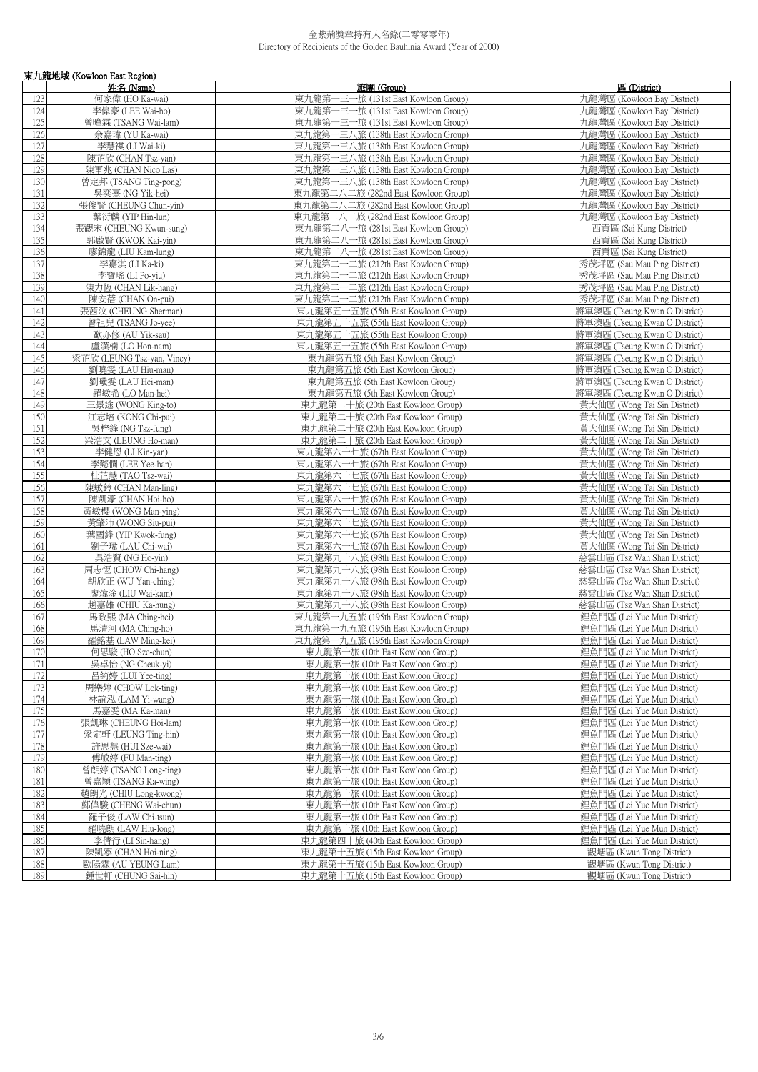|            | 東九龍地域 (Kowloon East Region)                   |                                                                            |                                                              |
|------------|-----------------------------------------------|----------------------------------------------------------------------------|--------------------------------------------------------------|
|            | 姓名 (Name)                                     | 旅團 (Group)                                                                 | 區 (District)                                                 |
| 123<br>124 | 何家偉 (HO Ka-wai)                               | 東九龍第一三一旅 (131st East Kowloon Group)<br>東九龍第一三一旅 (131st East Kowloon Group) | 九龍灣區 (Kowloon Bay District)<br>九龍灣區 (Kowloon Bay District)   |
| 125        | 李偉豪 (LEE Wai-ho)<br>曾暐霖 (TSANG Wai-lam)       | 東九龍第一三一旅 (131st East Kowloon Group)                                        | 九龍灣區 (Kowloon Bay District)                                  |
| 126        | 余嘉瑋 (YU Ka-wai)                               | 東九龍第一三八旅 (138th East Kowloon Group)                                        | 九龍灣區 (Kowloon Bay District)                                  |
| 127        | 李慧祺 (LI Wai-ki)                               | 東九龍第一三八旅 (138th East Kowloon Group)                                        | 九龍灣區 (Kowloon Bay District)                                  |
| 128        | 陳芷欣 (CHAN Tsz-yan)                            | 東九龍第一三八旅 (138th East Kowloon Group)                                        | 九龍灣區 (Kowloon Bay District)                                  |
| 129        | 陳軍兆 (CHAN Nico Las)                           | 東九龍第一三八旅 (138th East Kowloon Group)                                        | 九龍灣區 (Kowloon Bay District)                                  |
| 130        | 曾定邦 (TSANG Ting-pong)                         | 東九龍第一三八旅 (138th East Kowloon Group)                                        | 九龍灣區 (Kowloon Bay District)                                  |
| 131        | 吳奕熹 (NG Yik-hei)                              | 東九龍第二八二旅 (282nd East Kowloon Group)                                        | 九龍灣區 (Kowloon Bay District)                                  |
| 132        | 張俊賢 (CHEUNG Chun-yin)                         | 東九龍第二八二旅 (282nd East Kowloon Group)                                        | 九龍灣區 (Kowloon Bay District)                                  |
| 133        | 葉衍麟 (YIP Hin-lun)                             | 東九龍第二八二旅 (282nd East Kowloon Group)                                        | 九龍灣區 (Kowloon Bay District)                                  |
| 134        | 張觀宋 (CHEUNG Kwun-sung)                        | 東九龍第二八一旅 (281st East Kowloon Group)                                        | 西貢區 (Sai Kung District)                                      |
| 135        | 郭啟賢 (KWOK Kai-yin)                            | 東九龍第二八一旅 (281st East Kowloon Group)                                        | 西貢區 (Sai Kung District)                                      |
| 136<br>137 | 廖錦龍 (LIU Kam-lung)                            | 東九龍第二八一旅 (281st East Kowloon Group)<br>東九龍第二一二旅 (212th East Kowloon Group) | 西貢區 (Sai Kung District)                                      |
| 138        | 李嘉淇 (LI Ka-ki)<br>李寶瑤 (LI Po-viu)             | 東九龍第二一二旅 (212th East Kowloon Group)                                        | 秀茂坪區 (Sau Mau Ping District)<br>秀茂坪區 (Sau Mau Ping District) |
| 139        | 陳力恆 (CHAN Lik-hang)                           | 東九龍第二一二旅 (212th East Kowloon Group)                                        | 秀茂坪區 (Sau Mau Ping District)                                 |
| 140        | 陳安蓓 (CHAN On-pui)                             | 東九龍第二一二旅 (212th East Kowloon Group)                                        | 秀茂坪區 (Sau Mau Ping District)                                 |
| 141        | 張茜汶 (CHEUNG Sherman)                          | 東九龍第五十五旅 (55th East Kowloon Group)                                         | 將軍澳區 (Tseung Kwan O District)                                |
| 142        | 曾祖兒 (TSANG Jo-yee)                            | 東九龍第五十五旅 (55th East Kowloon Group)                                         | 將軍澳區 (Tseung Kwan O District)                                |
| 143        | 歐亦修 (AU Yik-sau)                              | 東九龍第五十五旅 (55th East Kowloon Group)                                         | 將軍澳區 (Tseung Kwan O District)                                |
| 144        | 盧漢楠 (LO Hon-nam)                              | 東九龍第五十五旅 (55th East Kowloon Group)                                         | 將軍澳區 (Tseung Kwan O District)                                |
| 145        | 梁芷欣 (LEUNG Tsz-yan, Vincy)                    | 東九龍第五旅 (5th East Kowloon Group)                                            | 將軍澳區 (Tseung Kwan O District)                                |
| 146        | 劉曉雯 (LAU Hiu-man)                             | 東九龍第五旅 (5th East Kowloon Group)                                            | 將軍澳區 (Tseung Kwan O District)                                |
| 147        | 劉曦零 (LAU Hei-man)                             | 東九龍第五旅 (5th East Kowloon Group)                                            | 將軍澳區 (Tseung Kwan O District)                                |
| 148        | 羅敏希 (LO Man-hei)                              | 東九龍第五旅 (5th East Kowloon Group)                                            | 將軍澳區 (Tseung Kwan O District)                                |
| 149<br>150 | 王景途 (WONG King-to)<br>江志培 (KONG Chi-pui)      | 東九龍第二十旅 (20th East Kowloon Group)<br>東九龍第二十旅 (20th East Kowloon Group)     | 黃大仙區 (Wong Tai Sin District)<br>黃大仙區 (Wong Tai Sin District) |
| 151        | 吳梓鋒 (NG Tsz-fung)                             | 東九龍第二十旅 (20th East Kowloon Group)                                          | 黃大仙區 (Wong Tai Sin District)                                 |
| 152        | 梁浩文 (LEUNG Ho-man)                            | 東九龍第二十旅 (20th East Kowloon Group)                                          | 黃大仙區 (Wong Tai Sin District)                                 |
| 153        | 李健恩 (LI Kin-yan)                              | 東九龍第六十七旅 (67th East Kowloon Group)                                         | 黃大仙區 (Wong Tai Sin District)                                 |
| 154        | 李懿憪 (LEE Yee-han)                             | 東九龍第六十七旅 (67th East Kowloon Group)                                         | 黃大仙區 (Wong Tai Sin District)                                 |
| 155        | 杜芷慧 (TAO Tsz-wai)                             | 東九龍第六十七旅 (67th East Kowloon Group)                                         | 黃大仙區 (Wong Tai Sin District)                                 |
| 156        | 陳敏鈴 (CHAN Man-ling)                           | 東九龍第六十七旅 (67th East Kowloon Group)                                         | 黃大仙區 (Wong Tai Sin District)                                 |
| 157        | 陳凱濠 (CHAN Hoi-ho)                             | 東九龍第六十七旅 (67th East Kowloon Group)                                         | 黃大仙區 (Wong Tai Sin District)                                 |
| 158        | 黃敏櫻 (WONG Man-ying)                           | 東九龍第六十七旅 (67th East Kowloon Group)                                         | 黃大仙區 (Wong Tai Sin District)                                 |
| 159<br>160 | 黃肇沛 (WONG Siu-pui)                            | 東九龍第六十七旅 (67th East Kowloon Group)<br>東九龍第六十七旅 (67th East Kowloon Group)   | 黃大仙區 (Wong Tai Sin District)<br>黃大仙區 (Wong Tai Sin District) |
| 161        | 葉國鋒 (YIP Kwok-fung)<br>劉子瑋 (LAU Chi-wai)      | 東九龍第六十七旅 (67th East Kowloon Group)                                         | 黃大仙區 (Wong Tai Sin District)                                 |
| 162        | 吳浩賢 (NG Ho-yin)                               | 東九龍第九十八旅 (98th East Kowloon Group)                                         | 慈雲山區 (Tsz Wan Shan District)                                 |
| 163        | 周志恆 (CHOW Chi-hang)                           | 東九龍第九十八旅 (98th East Kowloon Group)                                         | 慈雲山區 (Tsz Wan Shan District)                                 |
| 164        | 胡欣正 (WU Yan-ching)                            | 東九龍第九十八旅 (98th East Kowloon Group)                                         | 慈雲山區 (Tsz Wan Shan District)                                 |
| 165        | 廖煒淦 (LIU Wai-kam)                             | 東九龍第九十八旅 (98th East Kowloon Group)                                         | 慈雲山區 (Tsz Wan Shan District)                                 |
| 166        | 趙嘉雄 (CHIU Ka-hung)                            | 東九龍第九十八旅 (98th East Kowloon Group)                                         | 慈雲山區 (Tsz Wan Shan District)                                 |
| 167        | 馬政熙 (MA Ching-hei)                            | 東九龍第一九五旅 (195th East Kowloon Group)                                        | 鯉魚門區 (Lei Yue Mun District)                                  |
| 168        | 馬清河 (MA Ching-ho)                             | 東九龍第一九五旅 (195th East Kowloon Group)                                        | 鲤魚門區 (Lei Yue Mun District)                                  |
| 169        | 羅銘基 (LAW Ming-kei)                            | 東九龍第一九五旅 (195th East Kowloon Group)                                        | 鯉魚門區 (Lei Yue Mun District)                                  |
| 170<br>171 | 何思駿 (HO Sze-chun)<br>吳卓怡 (NG Cheuk-yi)        | 東九龍第十旅 (10th East Kowloon Group)<br>東九龍第十旅 (10th East Kowloon Group)       | 鯉魚門區 (Lei Yue Mun District)<br>鯉魚門區 (Lei Yue Mun District)   |
| 172        | 呂綺婷 (LUI Yee-ting)                            | 東九龍第十旅 (10th East Kowloon Group)                                           | 鯉魚門區 (Lei Yue Mun District)                                  |
| 173        | 周樂婷 (CHOW Lok-ting)                           | 東九龍第十旅 (10th East Kowloon Group)                                           | 鯉魚門區 (Lei Yue Mun District)                                  |
| 174        | 林誼泓 (LAM Yi-wang)                             | 東九龍第十旅 (10th East Kowloon Group)                                           | 鯉魚門區 (Lei Yue Mun District)                                  |
| 175        | 馬嘉雯 (MA Ka-man)                               | 東九龍第十旅 (10th East Kowloon Group)                                           | 鯉魚門區 (Lei Yue Mun District)                                  |
| 176        | 張凱琳 (CHEUNG Hoi-lam)                          | 東九龍第十旅 (10th East Kowloon Group)                                           | 鯉魚門區 (Lei Yue Mun District)                                  |
| 177        | 梁定軒 (LEUNG Ting-hin)                          | 東九龍第十旅 (10th East Kowloon Group)                                           | 鯉魚門區 (Lei Yue Mun District)                                  |
| 178        | 許思慧 (HUI Sze-wai)                             | 東九龍第十旅 (10th East Kowloon Group)                                           | 鯉魚門區 (Lei Yue Mun District)                                  |
| 179        | 傅敏婷 (FU Man-ting)                             | 東九龍第十旅 (10th East Kowloon Group)                                           | 鯉魚門區 (Lei Yue Mun District)                                  |
| 180        | 曾朗婷 (TSANG Long-ting)                         | 東九龍第十旅 (10th East Kowloon Group)                                           | 鯉魚門區 (Lei Yue Mun District)                                  |
| 181        | 曾嘉穎 (TSANG Ka-wing)                           | 東九龍第十旅 (10th East Kowloon Group)                                           | 鯉魚門區 (Lei Yue Mun District)                                  |
| 182<br>183 | 趙朗光 (CHIU Long-kwong)<br>鄭偉駿 (CHENG Wai-chun) | 東九龍第十旅 (10th East Kowloon Group)<br>東九龍第十旅 (10th East Kowloon Group)       | 鯉魚門區 (Lei Yue Mun District)<br>鯉魚門區 (Lei Yue Mun District)   |
| 184        | 羅子俊 (LAW Chi-tsun)                            | 東九龍第十旅 (10th East Kowloon Group)                                           | 鯉魚門區 (Lei Yue Mun District)                                  |
| 185        | 羅曉朗 (LAW Hiu-long)                            | 東九龍第十旅 (10th East Kowloon Group)                                           | 鯉魚門區 (Lei Yue Mun District)                                  |
| 186        | 李倩行 (LI Sin-hang)                             | 東九龍第四十旅 (40th East Kowloon Group)                                          | 鯉魚門區 (Lei Yue Mun District)                                  |
| 187        | 陳凱寧 (CHAN Hoi-ning)                           | 東九龍第十五旅 (15th East Kowloon Group)                                          | 觀塘區 (Kwun Tong District)                                     |
| 188        | 歐陽霖 (AU YEUNG Lam)                            | 東九龍第十五旅 (15th East Kowloon Group)                                          | 觀塘區 (Kwun Tong District)                                     |
| 189        | 鍾世軒 (CHUNG Sai-hin)                           | 東九龍第十五旅 (15th East Kowloon Group)                                          | 觀塘區 (Kwun Tong District)                                     |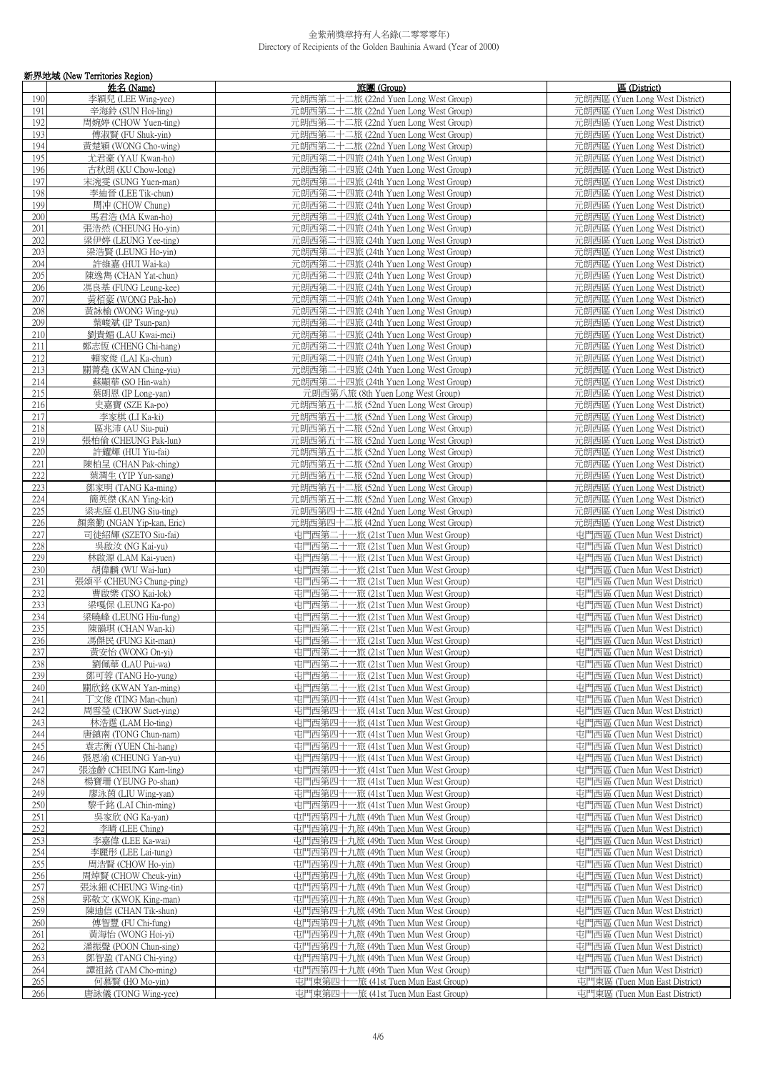|            | 新界地域 (New Territories Region)                    |                                                                              |                                                                  |
|------------|--------------------------------------------------|------------------------------------------------------------------------------|------------------------------------------------------------------|
|            | 姓名 (Name)                                        | 旅團(Group)                                                                    | 區 (District)                                                     |
| 190<br>191 | 李穎兒 (LEE Wing-yee)<br>辛海鈴 (SUN Hoi-ling)         | 元朗西第二十二旅 (22nd Yuen Long West Group)<br>元朗西第二十二旅 (22nd Yuen Long West Group) | 元朗西區 (Yuen Long West District)<br>元朗西區 (Yuen Long West District) |
| 192        | 周婉婷 (CHOW Yuen-ting)                             | 元朗西第二十二旅 (22nd Yuen Long West Group)                                         | 元朗西區 (Yuen Long West District)                                   |
| 193        | 傅淑賢 (FU Shuk-yin)                                | 元朗西第二十二旅 (22nd Yuen Long West Group)                                         | 元朗西區 (Yuen Long West District)                                   |
| 194        | 黃楚穎 (WONG Cho-wing)                              | 元朗西第二十二旅 (22nd Yuen Long West Group)                                         | 元朗西區 (Yuen Long West District)                                   |
| 195        | 尤君豪 (YAU Kwan-ho)                                | 元朗西第二十四旅 (24th Yuen Long West Group)                                         | 元朗西區 (Yuen Long West District)                                   |
| 196<br>197 | 古秋朗 (KU Chow-long)<br>宋涴雯 (SUNG Yuen-man)        | 元朗西第二十四旅 (24th Yuen Long West Group)<br>元朗西第二十四旅 (24th Yuen Long West Group) | 元朗西區 (Yuen Long West District)<br>元朗西區 (Yuen Long West District) |
| 198        | 李迪晉 (LEE Tik-chun)                               | 元朗西第二十四旅 (24th Yuen Long West Group)                                         | 元朗西區 (Yuen Long West District)                                   |
| 199        | 周冲 (CHOW Chung)                                  | 元朗西第二十四旅 (24th Yuen Long West Group)                                         | 元朗西區 (Yuen Long West District)                                   |
| 200        | 馬君浩 (MA Kwan-ho)                                 | 元朗西第二十四旅 (24th Yuen Long West Group)                                         | 元朗西區 (Yuen Long West District)                                   |
| 201        | 張浩然 (CHEUNG Ho-yin)                              | 元朗西第二十四旅 (24th Yuen Long West Group)                                         | 元朗西區 (Yuen Long West District)                                   |
| 202<br>203 | 梁伊婷 (LEUNG Yee-ting)<br>梁浩賢 (LEUNG Ho-yin)       | 元朗西第二十四旅 (24th Yuen Long West Group)<br>元朗西第二十四旅 (24th Yuen Long West Group) | 元朗西區 (Yuen Long West District)<br>元朗西區 (Yuen Long West District) |
| 204        | 許維嘉 (HUI Wai-ka)                                 | 元朗西第二十四旅 (24th Yuen Long West Group)                                         | 元朗西區 (Yuen Long West District)                                   |
| 205        | 陳逸雋 (CHAN Yat-chun)                              | 元朗西第二十四旅 (24th Yuen Long West Group)                                         | 元朗西區 (Yuen Long West District)                                   |
| 206        | 馮良基 (FUNG Leung-kee)                             | 元朗西第二十四旅 (24th Yuen Long West Group)                                         | 元朗西區 (Yuen Long West District)                                   |
| 207        | 黃栢豪 (WONG Pak-ho)                                | 元朗西第二十四旅 (24th Yuen Long West Group)                                         | 元朗西區 (Yuen Long West District)                                   |
| 208<br>209 | 黃詠榆 (WONG Wing-yu)<br>葉峻斌 (IP Tsun-pan)          | 元朗西第二十四旅 (24th Yuen Long West Group)<br>元朗西第二十四旅 (24th Yuen Long West Group) | 元朗西區 (Yuen Long West District)<br>元朗西區 (Yuen Long West District) |
| 210        | 劉貴媚 (LAU Kwai-mei)                               | 元朗西第二十四旅 (24th Yuen Long West Group)                                         | 元朗西區 (Yuen Long West District)                                   |
| 211        | 鄭志恆 (CHENG Chi-hang)                             | 元朗西第二十四旅 (24th Yuen Long West Group)                                         | 元朗西區 (Yuen Long West District)                                   |
| 212        | 賴家俊 (LAI Ka-chun)                                | 元朗西第二十四旅 (24th Yuen Long West Group)                                         | 元朗西區 (Yuen Long West District)                                   |
| 213        | 關菁堯 (KWAN Ching-yiu)                             | 元朗西第二十四旅 (24th Yuen Long West Group)<br>元朗西第二十四旅 (24th Yuen Long West Group) | 元朗西區 (Yuen Long West District)                                   |
| 214<br>215 | 蘇顯華 (SO Hin-wah)<br>葉朗恩 (IP Long-yan)            | 元朗西第八旅 (8th Yuen Long West Group)                                            | 元朗西區 (Yuen Long West District)<br>元朗西區 (Yuen Long West District) |
| 216        | 史嘉寶 (SZE Ka-po)                                  | 元朗西第五十二旅 (52nd Yuen Long West Group)                                         | 元朗西區 (Yuen Long West District)                                   |
| 217        | 李家棋 (LI Ka-ki)                                   | 元朗西第五十二旅 (52nd Yuen Long West Group)                                         | 元朗西區 (Yuen Long West District)                                   |
| 218        | 區兆沛 (AU Siu-pui)                                 | 元朗西第五十二旅 (52nd Yuen Long West Group)                                         | 元朗西區 (Yuen Long West District)                                   |
| 219        | 張柏倫 (CHEUNG Pak-lun)                             | 元朗西第五十二旅 (52nd Yuen Long West Group)                                         | 元朗西區 (Yuen Long West District)                                   |
| 220<br>221 | 許耀輝 (HUI Yiu-fai)<br>陳柏呈 (CHAN Pak-ching)        | 元朗西第五十二旅 (52nd Yuen Long West Group)<br>元朗西第五十二旅 (52nd Yuen Long West Group) | 元朗西區 (Yuen Long West District)<br>元朗西區 (Yuen Long West District) |
| 222        | 葉潤生 (YIP Yun-sang)                               | 元朗西第五十二旅 (52nd Yuen Long West Group)                                         | 元朗西區 (Yuen Long West District)                                   |
| 223        | 鄧家明 (TANG Ka-ming)                               | 元朗西第五十二旅 (52nd Yuen Long West Group)                                         | 元朗西區 (Yuen Long West District)                                   |
| 224        | 簡英傑 (KAN Ying-kit)                               | 元朗西第五十二旅 (52nd Yuen Long West Group)                                         | 元朗西區 (Yuen Long West District)                                   |
| 225<br>226 | 梁兆庭 (LEUNG Siu-ting)<br>顏業勤 (NGAN Yip-kan, Eric) | 元朗西第四十二旅 (42nd Yuen Long West Group)<br>元朗西第四十二旅 (42nd Yuen Long West Group) | 元朗西區 (Yuen Long West District)<br>元朗西區 (Yuen Long West District) |
| 227        | 司徒紹輝 (SZETO Siu-fai)                             | 屯門西第二十一旅 (21st Tuen Mun West Group)                                          | 屯門西區 (Tuen Mun West District)                                    |
| 228        | 吳啟汝 (NG Kai-yu)                                  | 屯門西第二十一旅 (21st Tuen Mun West Group)                                          | 屯門西區 (Tuen Mun West District)                                    |
| 229        | 林啟源 (LAM Kai-yuen)                               | 屯門西第二十一旅 (21st Tuen Mun West Group)                                          | 屯門西區 (Tuen Mun West District)                                    |
| 230        | 胡偉麟 (WU Wai-lun)                                 | 屯門西第二十一旅 (21st Tuen Mun West Group)                                          | 屯門西區 (Tuen Mun West District)                                    |
| 231<br>232 | 張頌平 (CHEUNG Chung-ping)<br>曹啟樂 (TSO Kai-lok)     | 屯門西第二十一旅 (21st Tuen Mun West Group)<br>屯門西第二十一旅 (21st Tuen Mun West Group)   | 屯門西區 (Tuen Mun West District)<br>屯門西區 (Tuen Mun West District)   |
| 233        | 梁嘎保 (LEUNG Ka-po)                                | 屯門西第二十一旅 (21st Tuen Mun West Group)                                          | 屯門西區 (Tuen Mun West District)                                    |
| 234        | 梁曉峰 (LEUNG Hiu-fung)                             | 屯門西第二十一旅 (21st Tuen Mun West Group)                                          | 屯門西區 (Tuen Mun West District)                                    |
| 235        | 陳韻琪 (CHAN Wan-ki)                                | 屯門西第二十一旅 (21st Tuen Mun West Group)                                          | 屯門西區 (Tuen Mun West District)                                    |
| 236        | 馮傑民 (FUNG Kit-man)                               | 屯門西第二十一旅 (21st Tuen Mun West Group)                                          | 屯門西區 (Tuen Mun West District)                                    |
| 237<br>238 | 黃安怡 (WONG On-yi)<br>劉佩華 (LAU Pui-wa)             | 屯門西第二十一旅 (21st Tuen Mun West Group)<br>屯門西第二十一旅 (21st Tuen Mun West Group)   | 屯門西區 (Tuen Mun West District)<br>屯門西區 (Tuen Mun West District)   |
| 239        | 鄧可蓉 (TANG Ho-yung)                               | 屯門西第二十一旅 (21st Tuen Mun West Group)                                          | 屯門西區 (Tuen Mun West District)                                    |
| 240        | 關欣銘 (KWAN Yan-ming)                              | 屯門西第二十一旅 (21st Tuen Mun West Group)                                          | 屯門西區 (Tuen Mun West District)                                    |
| 241        | 丁文俊 (TING Man-chun)                              | 屯門西第四十一旅 (41st Tuen Mun West Group)                                          | 屯門西區 (Tuen Mun West District)                                    |
| 242<br>243 | 周雪瑩 (CHOW Suet-ying)<br>林浩霆 (LAM Ho-ting)        | 屯門西第四十一旅 (41st Tuen Mun West Group)<br>屯門西第四十一旅 (41st Tuen Mun West Group)   | 屯門西區 (Tuen Mun West District)<br>屯門西區 (Tuen Mun West District)   |
| 244        | 唐鎮南 (TONG Chun-nam)                              | 屯門西第四十一旅 (41st Tuen Mun West Group)                                          | 屯門西區 (Tuen Mun West District)                                    |
| 245        | 袁志衡 (YUEN Chi-hang)                              | 屯門西第四十一旅 (41st Tuen Mun West Group)                                          | 屯門西區 (Tuen Mun West District)                                    |
| 246        | 張恩渝 (CHEUNG Yan-yu)                              | 屯門西第四十一旅 (41st Tuen Mun West Group)                                          | 屯門西區 (Tuen Mun West District)                                    |
| 247        | 張淦齡 (CHEUNG Kam-ling)                            | 屯門西第四十一旅 (41st Tuen Mun West Group)<br>屯門西第四十一旅 (41st Tuen Mun West Group)   | 屯門西區 (Tuen Mun West District)<br>屯門西區 (Tuen Mun West District)   |
| 248<br>249 | 楊寶珊 (YEUNG Po-shan)<br>廖泳茵 (LIU Wing-yan)        | 屯門西第四十一旅 (41st Tuen Mun West Group)                                          | 屯門西區 (Tuen Mun West District)                                    |
| 250        | 黎千銘 (LAI Chin-ming)                              | 屯門西第四十一旅 (41st Tuen Mun West Group)                                          | 屯門西區 (Tuen Mun West District)                                    |
| 251        | 吳家欣 (NG Ka-yan)                                  | 屯門西第四十九旅 (49th Tuen Mun West Group)                                          | 屯門西區 (Tuen Mun West District)                                    |
| 252        | 李晴 (LEE Ching)                                   | 屯門西第四十九旅 (49th Tuen Mun West Group)                                          | 屯門西區 (Tuen Mun West District)                                    |
| 253        | 李嘉偉 (LEE Ka-wai)                                 | 屯門西第四十九旅 (49th Tuen Mun West Group)                                          | 屯門西區 (Tuen Mun West District)                                    |
| 254<br>255 | 李麗彤 (LEE Lai-tung)<br>周浩賢 (CHOW Ho-yin)          | 屯門西第四十九旅 (49th Tuen Mun West Group)<br>屯門西第四十九旅 (49th Tuen Mun West Group)   | 屯門西區 (Tuen Mun West District)<br>屯門西區 (Tuen Mun West District)   |
| 256        | 周焯賢 (CHOW Cheuk-yin)                             | 屯門西第四十九旅 (49th Tuen Mun West Group)                                          | 屯門西區 (Tuen Mun West District)                                    |
| 257        | 張泳鈿 (CHEUNG Wing-tin)                            | 屯門西第四十九旅 (49th Tuen Mun West Group)                                          | 屯門西區 (Tuen Mun West District)                                    |
| 258        | 郭敬文 (KWOK King-man)                              | 屯門西第四十九旅 (49th Tuen Mun West Group)                                          | 屯門西區 (Tuen Mun West District)                                    |
| 259        | 陳迪信 (CHAN Tik-shun)                              | 屯門西第四十九旅 (49th Tuen Mun West Group)                                          | 屯門西區 (Tuen Mun West District)                                    |
| 260<br>261 | 傅智豐 (FU Chi-fung)<br>黃海怡 (WONG Hoi-yi)           | 屯門西第四十九旅 (49th Tuen Mun West Group)<br>屯門西第四十九旅 (49th Tuen Mun West Group)   | 屯門西區 (Tuen Mun West District)<br>屯門西區 (Tuen Mun West District)   |
| 262        | 潘振聲 (POON Chun-sing)                             | 屯門西第四十九旅 (49th Tuen Mun West Group)                                          | 屯門西區 (Tuen Mun West District)                                    |
| 263        | 鄧智盈 (TANG Chi-ying)                              | 屯門西第四十九旅 (49th Tuen Mun West Group)                                          | 屯門西區 (Tuen Mun West District)                                    |
| 264        | 譚祖銘 (TAM Cho-ming)                               | 屯門西第四十九旅 (49th Tuen Mun West Group)                                          | 屯門西區 (Tuen Mun West District)                                    |
| 265        | 何慕賢 (HO Mo-yin)                                  | 屯門東第四十一旅 (41st Tuen Mun East Group)                                          | 屯門東區 (Tuen Mun East District)<br>屯門東區 (Tuen Mun East District)   |
| 266        | 唐詠儀 (TONG Wing-yee)                              | 屯門東第四十一旅 (41st Tuen Mun East Group)                                          |                                                                  |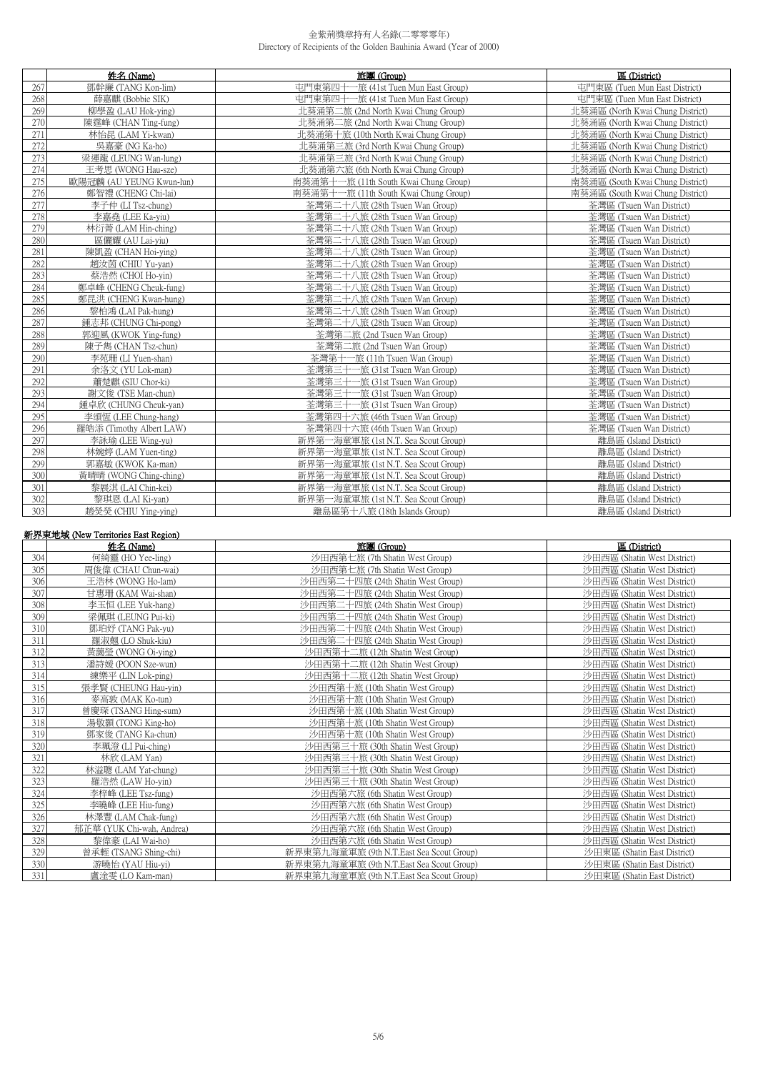|     | 姓名 (Name)                | 旅團 (Group)                            | 區 (District)                     |
|-----|--------------------------|---------------------------------------|----------------------------------|
| 267 | 鄧幹廉 (TANG Kon-lim)       | 屯門東第四十一旅 (41st Tuen Mun East Group)   | 屯門東區 (Tuen Mun East District)    |
| 268 | 薛嘉麒 (Bobbie SIK)         | 屯門東第四十一旅 (41st Tuen Mun East Group)   | 屯門東區 (Tuen Mun East District)    |
| 269 | 柳學盈 (LAU Hok-ying)       | 北葵涌第二旅 (2nd North Kwai Chung Group)   | 北葵涌區 (North Kwai Chung District) |
| 270 | 陳霆峰 (CHAN Ting-fung)     | 北葵涌第二旅 (2nd North Kwai Chung Group)   | 北葵涌區 (North Kwai Chung District) |
| 271 | 林怡昆 (LAM Yi-kwan)        | 北葵涌第十旅 (10th North Kwai Chung Group)  | 北葵涌區 (North Kwai Chung District) |
| 272 | 吳嘉豪 (NG Ka-ho)           | 北葵涌第三旅 (3rd North Kwai Chung Group)   | 北葵涌區 (North Kwai Chung District) |
| 273 | 梁運龍 (LEUNG Wan-lung)     | 北葵涌第三旅 (3rd North Kwai Chung Group)   | 北葵涌區 (North Kwai Chung District) |
| 274 | 王考思 (WONG Hau-sze)       | 北葵涌第六旅 (6th North Kwai Chung Group)   | 北葵涌區 (North Kwai Chung District) |
| 275 | 歐陽冠麟 (AU YEUNG Kwun-lun) | 南葵涌第十一旅 (11th South Kwai Chung Group) | 南葵涌區 (South Kwai Chung District) |
| 276 | 鄭智禮 (CHENG Chi-lai)      | 南葵涌第十一旅 (11th South Kwai Chung Group) | 南葵涌區 (South Kwai Chung District) |
| 277 | 李子仲 (LI Tsz-chung)       | 荃灣第二十八旅 (28th Tsuen Wan Group)        | 荃灣區 (Tsuen Wan District)         |
| 278 | 李嘉堯 (LEE Ka-viu)         | 荃灣第二十八旅 (28th Tsuen Wan Group)        | 荃灣區 (Tsuen Wan District)         |
| 279 | 林衍菁 (LAM Hin-ching)      | 荃灣第二十八旅 (28th Tsuen Wan Group)        | 荃灣區 (Tsuen Wan District)         |
| 280 | 區儷耀 (AU Lai-yiu)         | 荃灣第二十八旅 (28th Tsuen Wan Group)        | 荃灣區 (Tsuen Wan District)         |
| 281 | 陳凱盈 (CHAN Hoi-ying)      | 荃灣第二十八旅 (28th Tsuen Wan Group)        | 荃灣區 (Tsuen Wan District)         |
| 282 | 趙汝茵 (CHIU Yu-yan)        | 荃灣第二十八旅 (28th Tsuen Wan Group)        | 荃灣區 (Tsuen Wan District)         |
| 283 | 蔡浩然 (CHOI Ho-yin)        | 荃灣第二十八旅 (28th Tsuen Wan Group)        | 荃灣區 (Tsuen Wan District)         |
| 284 | 鄭卓峰 (CHENG Cheuk-fung)   | 荃灣第二十八旅 (28th Tsuen Wan Group)        | 荃灣區 (Tsuen Wan District)         |
| 285 | 鄭昆洪 (CHENG Kwan-hung)    | 荃灣第二十八旅 (28th Tsuen Wan Group)        | 荃灣區 (Tsuen Wan District)         |
| 286 | 黎柏鴻 (LAI Pak-hung)       | 荃灣第二十八旅 (28th Tsuen Wan Group)        | 荃灣區 (Tsuen Wan District)         |
| 287 | 鍾志邦 (CHUNG Chi-pong)     | 荃灣第二十八旅 (28th Tsuen Wan Group)        | 荃灣區 (Tsuen Wan District)         |
| 288 | 郭迎風 (KWOK Ying-fung)     | 荃灣第二旅 (2nd Tsuen Wan Group)           | 荃灣區 (Tsuen Wan District)         |
| 289 | 陳子雋 (CHAN Tsz-chun)      | 荃灣第二旅 (2nd Tsuen Wan Group)           | 荃灣區 (Tsuen Wan District)         |
| 290 | 李苑珊 (LI Yuen-shan)       | 荃灣第十一旅 (11th Tsuen Wan Group)         | 荃灣區 (Tsuen Wan District)         |
| 291 | 余洛文 (YU Lok-man)         | 荃灣第三十一旅 (31st Tsuen Wan Group)        | 荃灣區 (Tsuen Wan District)         |
| 292 | 蕭楚麒 (SIU Chor-ki)        | 荃灣第三十一旅 (31st Tsuen Wan Group)        | 荃灣區 (Tsuen Wan District)         |
| 293 | 謝文俊 (TSE Man-chun)       | 荃灣第三十一旅 (31st Tsuen Wan Group)        | 荃灣區 (Tsuen Wan District)         |
| 294 | 鍾卓欣 (CHUNG Cheuk-yan)    | 荃灣第三十一旅 (31st Tsuen Wan Group)        | 荃灣區 (Tsuen Wan District)         |
| 295 | 李頌恆 (LEE Chung-hang)     | 荃灣第四十六旅 (46th Tsuen Wan Group)        | 荃灣區 (Tsuen Wan District)         |
| 296 | 羅皓添 (Timothy Albert LAW) | 荃灣第四十六旅 (46th Tsuen Wan Group)        | 荃灣區 (Tsuen Wan District)         |
| 297 | 李詠瑜 (LEE Wing-yu)        | 新界第一海童軍旅 (1st N.T. Sea Scout Group)   | 離島區 (Island District)            |
| 298 | 林婉婷 (LAM Yuen-ting)      | 新界第一海童軍旅 (1st N.T. Sea Scout Group)   | 離島區 (Island District)            |
| 299 | 郭嘉敏 (KWOK Ka-man)        | 新界第一海童軍旅 (1st N.T. Sea Scout Group)   | 離島區 (Island District)            |
| 300 | 黃晴晴 (WONG Ching-ching)   | 新界第一海童軍旅 (1st N.T. Sea Scout Group)   | 離島區 (Island District)            |
| 301 | 黎展淇 (LAI Chin-kei)       | 新界第一海童軍旅 (1st N.T. Sea Scout Group)   | 離島區 (Island District)            |
| 302 | 黎琪恩 (LAI Ki-yan)         | 新界第一海童軍旅 (1st N.T. Sea Scout Group)   | 離島區 (Island District)            |
| 303 | 趙熒熒 (CHIU Ying-ying)     | 離島區第十八旅 (18th Islands Group)          | 離島區 (Island District)            |

# **新界東地域 (New Territories East Region)**

|     | 姓名 (Name)                 | 旅團 (Group)                               | 區 (District)                |
|-----|---------------------------|------------------------------------------|-----------------------------|
| 304 | 何綺靈 (HO Yee-ling)         | 沙田西第七旅 (7th Shatin West Group)           | 沙田西區 (Shatin West District) |
| 305 | 周俊偉 (CHAU Chun-wai)       | 沙田西第七旅 (7th Shatin West Group)           | 沙田西區 (Shatin West District) |
| 306 | 王浩林 (WONG Ho-lam)         | 沙田西第二十四旅 (24th Shatin West Group)        | 沙田西區 (Shatin West District) |
| 307 | 甘惠珊 (KAM Wai-shan)        | 沙田西第二十四旅 (24th Shatin West Group)        | 沙田西區 (Shatin West District) |
| 308 | 李玉恒 (LEE Yuk-hang)        | 沙田西第二十四旅 (24th Shatin West Group)        | 沙田西區 (Shatin West District) |
| 309 | 梁佩琪 (LEUNG Pui-ki)        | 沙田西第二十四旅 (24th Shatin West Group)        | 沙田西區 (Shatin West District) |
| 310 | 鄧珀妤 (TANG Pak-yu)         | 沙田西第二十四旅 (24th Shatin West Group)        | 沙田西區 (Shatin West District) |
| 311 | 羅淑翹 (LO Shuk-kiu)         | 沙田西第二十四旅 (24th Shatin West Group)        | 沙田西區 (Shatin West District) |
| 312 | 黃藹瑩 (WONG Oi-ying)        | 沙田西第十二旅 (12th Shatin West Group)         | 沙田西區 (Shatin West District) |
| 313 | 潘詩媛 (POON Sze-wun)        | 沙田西第十二旅 (12th Shatin West Group)         | 沙田西區 (Shatin West District) |
| 314 | 練樂平 (LIN Lok-ping)        | 沙田西第十二旅 (12th Shatin West Group)         | 沙田西區 (Shatin West District) |
| 315 | 張孝賢 (CHEUNG Hau-yin)      | 沙田西第十旅 (10th Shatin West Group)          | 沙田西區 (Shatin West District) |
| 316 | 麥高敦 (MAK Ko-tun)          | 沙田西第十旅 (10th Shatin West Group)          | 沙田西區 (Shatin West District) |
| 317 | 曾慶琛 (TSANG Hing-sum)      | 沙田西第十旅 (10th Shatin West Group)          | 沙田西區 (Shatin West District) |
| 318 | 湯敬顥 (TONG King-ho)        | 沙田西第十旅 (10th Shatin West Group)          | 沙田西區 (Shatin West District) |
| 319 | 鄧家俊 (TANG Ka-chun)        | 沙田西第十旅 (10th Shatin West Group)          | 沙田西區 (Shatin West District) |
| 320 | 李珮澄 (LI Pui-ching)        | 沙田西第三十旅 (30th Shatin West Group)         | 沙田西區 (Shatin West District) |
| 321 | 林欣 (LAM Yan)              | 沙田西第三十旅 (30th Shatin West Group)         | 沙田西區 (Shatin West District) |
| 322 | 林溢聰 (LAM Yat-chung)       | 沙田西第三十旅 (30th Shatin West Group)         | 沙田西區 (Shatin West District) |
| 323 | 羅浩然 (LAW Ho-yin)          | 沙田西第三十旅 (30th Shatin West Group)         | 沙田西區 (Shatin West District) |
| 324 | 李梓峰 (LEE Tsz-fung)        | 沙田西第六旅 (6th Shatin West Group)           | 沙田西區 (Shatin West District) |
| 325 | 李曉峰 (LEE Hiu-fung)        | 沙田西第六旅 (6th Shatin West Group)           | 沙田西區 (Shatin West District) |
| 326 | 林澤豐 (LAM Chak-fung)       | 沙田西第六旅 (6th Shatin West Group)           | 沙田西區 (Shatin West District) |
| 327 | 郁芷華 (YUK Chi-wah, Andrea) | 沙田西第六旅 (6th Shatin West Group)           | 沙田西區 (Shatin West District) |
| 328 | 黎偉豪 (LAI Wai-ho)          | 沙田西第六旅 (6th Shatin West Group)           | 沙田西區 (Shatin West District) |
| 329 | 曾承輊 (TSANG Shing-chi)     | 新界東第九海童軍旅 (9th N.T.East Sea Scout Group) | 沙田東區 (Shatin East District) |
| 330 | 游曉怡 (YAU Hiu-yi)          | 新界東第九海童軍旅 (9th N.T.East Sea Scout Group) | 沙田東區 (Shatin East District) |
| 331 | 盧涂零 (LO Kam-man)          | 新界東第九海童軍旅 (9th N.T.East Sea Scout Group) | 沙田東區 (Shatin East District) |